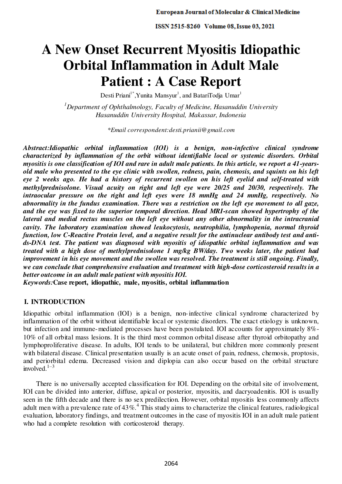# **A New Onset Recurrent Myositis Idiopathic Orbital Inflammation in Adult Male Patient : A Case Report**

Desti Priani $1^*$ ,Yunita Mansyur $^1$ , and BatariTodja Umar $^1$ 

*<sup>1</sup>Department of Ophthalmology, Faculty of Medicine, Hasanuddin University Hasanuddin University Hospital, Makassar, Indonesia* 

*\*Email correspondent[:desti.prianii@gmail.com](mailto:desti.prianii@gmail.com)* 

*Abstract:Idiopathic orbital inflammation (IOI) is a benign, non-infective clinical syndrome characterized by inflammation of the orbit without identifiable local or systemic disorders. Orbital myositis is one classification of IOI and rare in adult male patients. In this article, we report a 41-yearsold male who presented to the eye clinic with swollen, redness, pain, chemosis, and squints on his left eye 2 weeks ago. He had a history of recurrent swollen on his left eyelid and self-treated with methylprednisolone. Visual acuity on right and left eye were 20/25 and 20/30, respectively. The intraocular pressure on the right and left eyes were 18 mmHg and 24 mmHg, respectively. No abnormality in the fundus examination. There was a restriction on the left eye movement to all gaze, and the eye was fixed to the superior temporal direction. Head MRI-scan showed hypertrophy of the lateral and medial rectus muscles on the left eye without any other abnormality in the intracranial cavity. The laboratory examination showed leukocytosis, neutrophilia, lymphopenia, normal thyroid function, low C-Reactive Protein level, and a negative result for the antinuclear antibody test and antids-DNA test. The patient was diagnosed with myositis of idiopathic orbital inflammation and was treated with a high dose of methylprednisolone 1 mg/kg BW/day. Two weeks later, the patient had improvement in his eye movement and the swollen was resolved. The treatment is still ongoing. Finally, we can conclude that comprehensive evaluation and treatment with high-dose corticosteroid results in a better outcome in an adult male patient with myositis IOI.* 

*Keywords:***Case report, idiopathic, male, myositis, orbital inflammation** 

# **I. INTRODUCTION**

Idiopathic orbital inflammation (IOI) is a benign, non-infective clinical syndrome characterized by inflammation of the orbit without identifiable local or systemic disorders. The exact etiology is unknown, but infection and immune-mediated processes have been postulated. IOI accounts for approximately 8%- 10% of all orbital mass lesions. It is the third most common orbital disease after thyroid orbitopathy and lymphoproliferative disease. In adults, IOI tends to be unilateral, but children more commonly present with bilateral disease. Clinical presentation usually is an acute onset of pain, redness, chemosis, proptosis, and periorbital edema. Decreased vision and diplopia can also occur based on the orbital structure involved. $1-3$ 

There is no universally accepted classification for IOI. Depending on the orbital site of involvement, IOI can be divided into anterior, diffuse, apical or posterior, myositis, and dacryoadenitis. IOI is usually seen in the fifth decade and there is no sex predilection. However, orbital myositis less commonly affects adult men with a prevalence rate of  $43\%$ <sup>4</sup>. This study aims to characterize the clinical features, radiological evaluation, laboratory findings, and treatment outcomes in the case of myositis IOI in an adult male patient who had a complete resolution with corticosteroid therapy.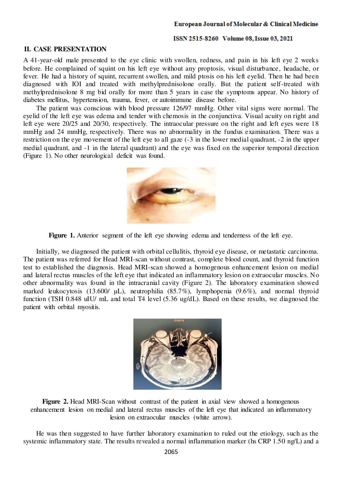## **II. CASE PRESENTATION**

A 41-year-old male presented to the eye clinic with swollen, redness, and pain in his left eye 2 weeks before. He complained of squint on his left eye without any proptosis, visual disturbance, headache, or fever. He had a history of squint, recurrent swollen, and mild ptosis on his left eyelid. Then he had been diagnosed with IOI and treated with methylprednisolone orally. But the patient self-treated with methylprednisolone 8 mg bid orally for more than 5 years in case the symptoms appear. No history of diabetes mellitus, hypertension, trauma, fever, or autoimmune disease before.

The patient was conscious with blood pressure 126/97 mmHg. Other vital signs were normal. The eyelid of the left eye was edema and tender with chemosis in the conjunctiva. Visual acuity on right and left eye were 20/25 and 20/30, respectively. The intraocular pressure on the right and left eyes were 18 mmHg and 24 mmHg, respectively. There was no abnormality in the fundus examination. There was a restriction on the eye movement of the left eye to all gaze (-3 in the lower medial quadrant, -2 in the upper medial quadrant, and -1 in the lateral quadrant) and the eye was fixed on the superior temporal direction (Figure 1). No other neurological deficit was found.



Figure 1. Anterior segment of the left eye showing edema and tenderness of the left eye.

Initially, we diagnosed the patient with orbital cellulitis, thyroid eye disease, or metastatic carcinoma. The patient was referred for Head MRI-scan without contrast, complete blood count, and thyroid function test to established the diagnosis. Head MRI-scan showed a homogenous enhancement lesion on medial and lateral rectus muscles of the left eye that indicated an inflammatory lesion on extraocular muscles. No other abnormality was found in the intracranial cavity (Figure 2). The laboratory examination showed marked leukocytosis (13.600/ µL), neutrophilia (85.7%), lymphopenia (9.6%), and normal thyroid function (TSH 0.848 uIU/ mL and total T4 level (5.36 ug/dL). Based on these results, we diagnosed the patient with orbital myositis.



**Figure 2.** Head MRI-Scan without contrast of the patient in axial view showed a homogenous enhancement lesion on medial and lateral rectus muscles of the left eye that indicated an inflammatory lesion on extraocular muscles (white arrow).

He was then suggested to have further laboratory examination to ruled out the etiology, such as the systemic inflammatory state. The results revealed a normal inflammation marker (hs CRP 1.50 ng/L) and a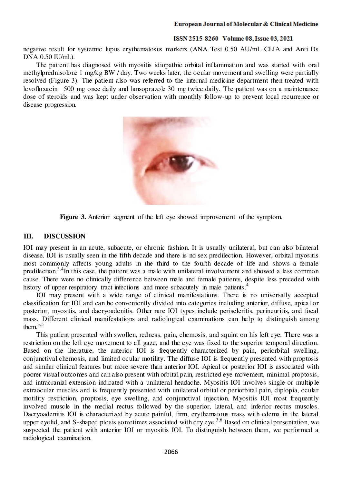negative result for systemic lupus erythematosus markers (ANA Test 0.50 AU/mL CLIA and Anti Ds DNA 0.50 IU/mL).

The patient has diagnosed with myositis idiopathic orbital inflammation and was started with oral methylprednisolone 1 mg/kg BW / day. Two weeks later, the ocular movement and swelling were partially resolved (Figure 3). The patient also was referred to the internal medicine department then treated with levofloxacin 500 mg once daily and lansoprazole 30 mg twice daily. The patient was on a maintenance dose of steroids and was kept under observation with monthly follow-up to prevent local recurrence or disease progression.



Figure 3. Anterior segment of the left eye showed improvement of the symptom.

# **III. DISCUSSION**

IOI may present in an acute, subacute, or chronic fashion. It is usually unilateral, but can also bilateral disease. IOI is usually seen in the fifth decade and there is no sex predilection. However, orbital myositis most commonly affects young adults in the third to the fourth decade of life and shows a female predilection.<sup>3,4</sup>In this case, the patient was a male with unilateral involvement and showed a less common cause. There were no clinically difference between male and female patients, despite less preceded with history of upper respiratory tract infections and more subacutely in male patients.<sup>4</sup>

IOI may present with a wide range of clinical manifestations. There is no universally accepted classification for IOI and can be conveniently divided into categories including anterior, diffuse, apical or posterior, myositis, and dacryoadenitis. Other rare IOI types include periscleritis, perineuritis, and focal mass. Different clinical manifestations and radiological examinations can help to distinguish among them.3,5

This patient presented with swollen, redness, pain, chemosis, and squint on his left eye. There was a restriction on the left eye movement to all gaze, and the eye was fixed to the superior temporal direction. Based on the literature, the anterior IOI is frequently characterized by pain, periorbital swelling, conjunctival chemosis, and limited ocular motility. The diffuse IOI is frequently presented with proptosis and similar clinical features but more severe than anterior IOI. Apical or posterior IOI is associated with poorer visual outcomes and can also present with orbital pain, restricted eye movement, minimal proptosis, and intracranial extension indicated with a unilateral headache. Myositis IOI involves single or multip le extraocular muscles and is frequently presented with unilateral orbital or periorbital pain, diplopia, ocular motility restriction, proptosis, eye swelling, and conjunctival injection. Myositis IOI most frequently involved muscle in the medial rectus followed by the superior, lateral, and inferior rectus muscles. Dacryoadenitis IOI is characterized by acute painful, firm, erythematous mass with edema in the lateral upper eyelid, and S-shaped ptosis sometimes associated with dry eye.<sup>3,6</sup> Based on clinical presentation, we suspected the patient with anterior IOI or myositis IOI. To distinguish between them, we performed a radiological examination.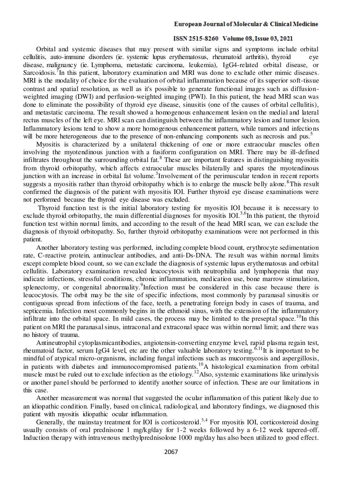#### European Journal of Molecular & Clinical Medicine

#### ISSN 2515-8260 Volume 08, Issue 03, 2021

Orbital and systemic diseases that may present with similar signs and symptoms include orbital cellulitis, auto-immune disorders (ie. systemic lupus erythematosus, rheumatoid arthritis), thyroid eye disease, malignancy (ie. Lymphoma, metastatic carcinoma, leukemia), IgG4-related orbital disease, or Sarcoidosis.<sup>7</sup>In this patient, laboratory examination and MRI was done to exclude other mimic diseases. MRI is the modality of choice for the evaluation of orbital inflammation because of its superior soft-tissue contrast and spatial resolution, as well as it's possible to generate functional images such as diffusionweighted imaging (DWI) and perfusion-weighted imaging (PWI). In this patient, the head MRI scan was done to eliminate the possibility of thyroid eye disease, sinusitis (one of the causes of orbital cellulitis), and metastatic carcinoma. The result showed a homogenous enhancement lesion on the medial and lateral rectus muscles of the left eye. MRI scan can distinguish between the inflammatory lesion and tumor lesion. Inflammatory lesions tend to show a more homogenous enhancement pattern, while tumors and infectio ns will be more heterogeneous due to the presence of non-enhancing components such as necrosis and pus.<sup>5</sup>

Myositis is characterized by a unilateral thickening of one or more extraocular muscles often involving the myotendinous junction with a fusiform configuration on MRI. There may be ill-defined infiltrates throughout the surrounding orbital fat.<sup>8</sup> These are important features in distinguishing myositis from thyroid orbitopathy, which affects extraocular muscles bilaterally and spares the myotendinous junction with an increase in orbital fat volume.<sup>3</sup>Involvement of the perimuscular tendon in recent reports suggests a myositis rather than thyroid orbitopathy which is to enlarge the muscle belly alone.<sup>8</sup>This result confirmed the diagnosis of the patient with myositis IOI. Further thyroid eye disease examinations were not performed because the thyroid eye disease was excluded.

 Thyroid function test is the initial laboratory testing for myositis IOI because it is necessary to exclude thyroid orbitopathy, the main differential diagnoses for myositis IOI.<sup>3,6</sup>In this patient, the thyroid function test within normal limits, and according to the result of the head MRI scan, we can exclude the diagnosis of thyroid orbitopathy. So, further thyroid orbitopathy examinations were not performed in this patient.

Another laboratory testing was performed, including complete blood count, erythrocyte sedimentation rate, C-reactive protein, antinuclear antibodies, and anti-Ds-DNA. The result was within normal limits except complete blood count, so we can exclude the diagnosis of systemic lupus erythematosus and orbital cellulitis. Laboratory examination revealed leucocytosis with neutrophilia and lymphopenia that may indicate infections, stressful conditions, chronic inflammation, medication use, bone marrow stimulation, splenectomy, or congenital abnormality. <sup>9</sup>Infection must be considered in this case because there is leucocytosis. The orbit may be the site of specific infections, most commonly by paranasal sinusitis or contiguous spread from infections of the face, teeth, a penetrating foreign body in cases of trauma, and septicemia. Infection most commonly begins in the ethmoid sinus, with the extension of the inflammatory infiltrate into the orbital space. In mild cases, the process may be limited to the preseptal space.<sup>10</sup>In this patient on MRI the paranasal sinus, intraconal and extraconal space was within normal limit; and there was no history of trauma.

Antineutrophil cytoplasmicantibodies, angiotensin-converting enzyme level, rapid plasma regain test, rheumatoid factor, serum IgG4 level, etc are the other valuable laboratory testing.<sup>6,11</sup>It is important to be mindful of atypical micro-organisms, including fungal infections such as mucormycosis and aspergillosis, in patients with diabetes and immunocompromised patients.<sup>10</sup>A histological examination from orbital muscle must be ruled out to exclude infection as the etiology.<sup>12</sup>Also, systemic examinations like urinalysis or another panel should be performed to identify another source of infection. These are our limitations in this case.

Another measurement was normal that suggested the ocular inflammation of this patient likely due to an idiopathic condition. Finally, based on clinical, radiological, and laboratory findings, we diagnosed this patient with myositis idiopathic ocular inflammation.

Generally, the mainstay treatment for IOI is corticosteroid.<sup>3,4</sup> For myositis IOI, corticosteroid dosing usually consists of oral prednisone 1 mg/kg/day for 1-2 weeks followed by a 6-12 week tapered-off. Induction therapy with intravenous methylprednisolone 1000 mg/day has also been utilized to good effect.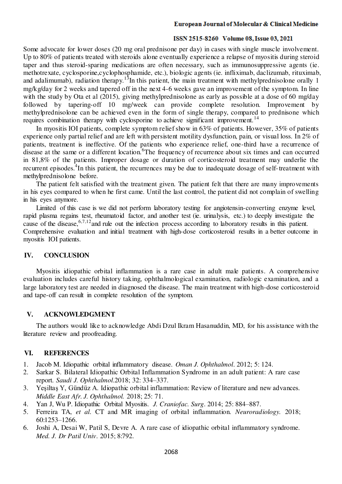Some advocate for lower doses (20 mg oral prednisone per day) in cases with single muscle involvement. Up to 80% of patients treated with steroids alone eventually experience a relapse of myositis during steroid taper and thus steroid-sparing medications are often necessary, such as immunosuppressive agents (ie. methotrexate, cyclosporine,cyclophosphamide, etc.), biologic agents (ie. infliximab, daclizumab, rituximab, and adalimumab), radiation therapy.<sup>13</sup>In this patient, the main treatment with methylprednisolone orally 1 mg/kg/day for 2 weeks and tapered off in the next 4-6 weeks gave an improvement of the symptom. In line with the study by Ota et al (2015), giving methylprednisolone as early as possible at a dose of 60 mg/day followed by tapering-off 10 mg/week can provide complete resolution. Improvement by methylprednisolone can be achieved even in the form of single therapy, compared to prednisone which requires combination therapy with cyclosporine to achieve significant improvement.<sup>14</sup>

In myositis IOI patients, complete symptom relief show in 63% of patients. However, 35% of patients experience only partial relief and are left with persistent motility dysfunction, pain, or visual loss. In 2% of patients, treatment is ineffective. Of the patients who experience relief, one-third have a recurrence of disease at the same or a different location.  $6T$ he frequency of recurrence about six times and can occurred in 81,8% of the patients. Improper dosage or duration of corticosteroid treatment may underlie the recurrent episodes.<sup>4</sup>In this patient, the recurrences may be due to inadequate dosage of self-treatment with methylprednisolone before.

The patient felt satisfied with the treatment given. The patient felt that there are many improvements in his eyes compared to when he first came. Until the last control, the patient did not complain of swelling in his eyes anymore.

Limited of this case is we did not perform laboratory testing for angiotensin-converting enzyme level, rapid plasma regains test, rheumatoid factor, and another test (ie. urinalysis, etc.) to deeply investigate the cause of the disease,  $6,7,12$  and rule out the infection process according to laboratory results in this patient. Comprehensive evaluation and initial treatment with high-dose corticosteroid results in a better outcome in myositis IOI patients.

# **IV. CONCLUSION**

Myositis idiopathic orbital inflammation is a rare case in adult male patients. A comprehensive evaluation includes careful history taking, ophthalmological examination, radiologic examination, and a large laboratory test are needed in diagnosed the disease. The main treatment with high-dose corticosteroid and tape-off can result in complete resolution of the symptom.

## **V. ACKNOWLEDGMENT**

The authors would like to acknowledge Abdi Dzul Ikram Hasanuddin, MD, for his assistance with the literature review and proofreading.

# **VI. REFERENCES**

- 1. Jacob M. Idiopathic orbital inflammatory disease. *Oman J. Ophthalmol*. 2012; 5: 124.
- 2. Sarkar S. Bilateral Idiopathic Orbital Inflammation Syndrome in an adult patient: A rare case report. *Saudi J. Ophthalmol*.2018; 32: 334–337.
- 3. Yeşiltaş Y, Gündüz A. Idiopathic orbital inflammation: Review of literature and new advances. *Middle East Afr. J. Ophthalmol.* 2018; 25: 71.
- 4. Yan J, Wu P. Idiopathic Orbital Myositis. *J. Craniofac. Surg*. 2014; 25: 884–887.
- 5. Ferreira TA, *et al*. CT and MR imaging of orbital inflammation. *Neuroradiology.* 2018; 60:1253–1266.
- 6. Joshi A, Desai W, Patil S, Devre A. A rare case of idiopathic orbital inflammatory syndrome. *Med. J. Dr Patil Univ.* 2015; 8:792.